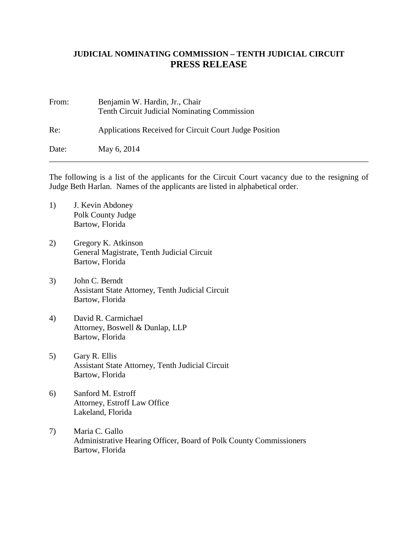## **JUDICIAL NOMINATING COMMISSION – TENTH JUDICIAL CIRCUIT PRESS RELEASE**

| From: | Benjamin W. Hardin, Jr., Chair<br><b>Tenth Circuit Judicial Nominating Commission</b> |
|-------|---------------------------------------------------------------------------------------|
| Re:   | Applications Received for Circuit Court Judge Position                                |
| Date: | May 6, 2014                                                                           |

The following is a list of the applicants for the Circuit Court vacancy due to the resigning of Judge Beth Harlan. Names of the applicants are listed in alphabetical order.

- 1) J. Kevin Abdoney Polk County Judge Bartow, Florida
- 2) Gregory K. Atkinson General Magistrate, Tenth Judicial Circuit Bartow, Florida
- 3) John C. Berndt Assistant State Attorney, Tenth Judicial Circuit Bartow, Florida
- 4) David R. Carmichael Attorney, Boswell & Dunlap, LLP Bartow, Florida
- 5) Gary R. Ellis Assistant State Attorney, Tenth Judicial Circuit Bartow, Florida
- 6) Sanford M. Estroff Attorney, Estroff Law Office Lakeland, Florida
- 7) Maria C. Gallo Administrative Hearing Officer, Board of Polk County Commissioners Bartow, Florida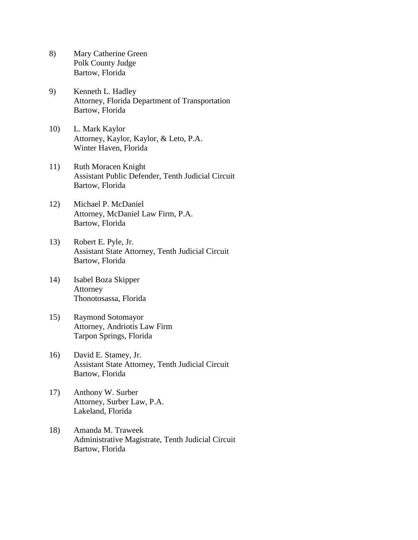- 8) Mary Catherine Green Polk County Judge Bartow, Florida
- 9) Kenneth L. Hadley Attorney, Florida Department of Transportation Bartow, Florida
- 10) L. Mark Kaylor Attorney, Kaylor, Kaylor, & Leto, P.A. Winter Haven, Florida
- 11) Ruth Moracen Knight Assistant Public Defender, Tenth Judicial Circuit Bartow, Florida
- 12) Michael P. McDaniel Attorney, McDaniel Law Firm, P.A. Bartow, Florida
- 13) Robert E. Pyle, Jr. Assistant State Attorney, Tenth Judicial Circuit Bartow, Florida
- 14) Isabel Boza Skipper Attorney Thonotosassa, Florida
- 15) Raymond Sotomayor Attorney, Andriotis Law Firm Tarpon Springs, Florida
- 16) David E. Stamey, Jr. Assistant State Attorney, Tenth Judicial Circuit Bartow, Florida
- 17) Anthony W. Surber Attorney, Surber Law, P.A. Lakeland, Florida
- 18) Amanda M. Traweek Administrative Magistrate, Tenth Judicial Circuit Bartow, Florida